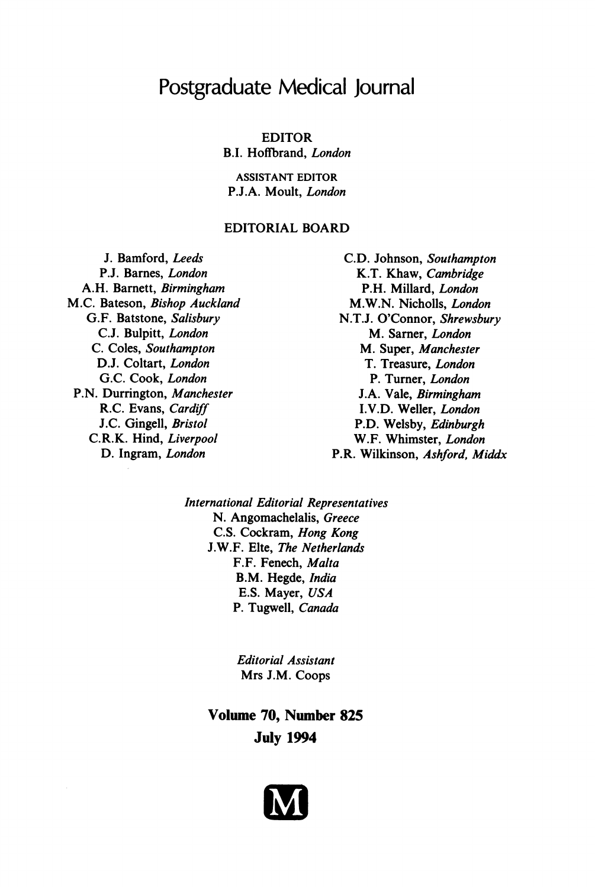# Postgraduate Medical Journal

EDITOR B.I. Hoffbrand, London

ASSISTANT EDITOR P.J.A. Moult, London

# EDITORIAL BOARD

J. Bamford, Leeds P.J. Barnes, London A.H. Barnett, Birmingham M.C. Bateson, Bishop Auckland G.F. Batstone, Salisbury C.J. Bulpitt, London C. Coles, Southampton D.J. Coltart, London G.C. Cook, London P.N. Durrington, Manchester R.C. Evans, Cardiff J.C. Gingell, Bristol C.R.K. Hind, Liverpool D. Ingram, London

C.D. Johnson, Southampton K.T. Khaw, Cambridge P.H. Millard, London M.W.N. Nicholls, London N.T.J. O'Connor, Shrewsbury M. Sarner, London M. Super, Manchester T. Treasure, London P. Turner, London J.A. Vale, Birmingham I.V.D. Weller, London P.D. Welsby, Edinburgh W.F. Whimster, London P.R. Wilkinson, Ashford, Middx

International Editorial Representatives N. Angomachelalis, Greece C.S. Cockram, Hong Kong J.W.F. Elte, The Netherlands F.F. Fenech, Malta B.M. Hegde, India E.S. Mayer, USA P. Tugwell, Canada

> Editorial Assistant Mrs J.M. Coops

Volume 70, Number 825 July 1994

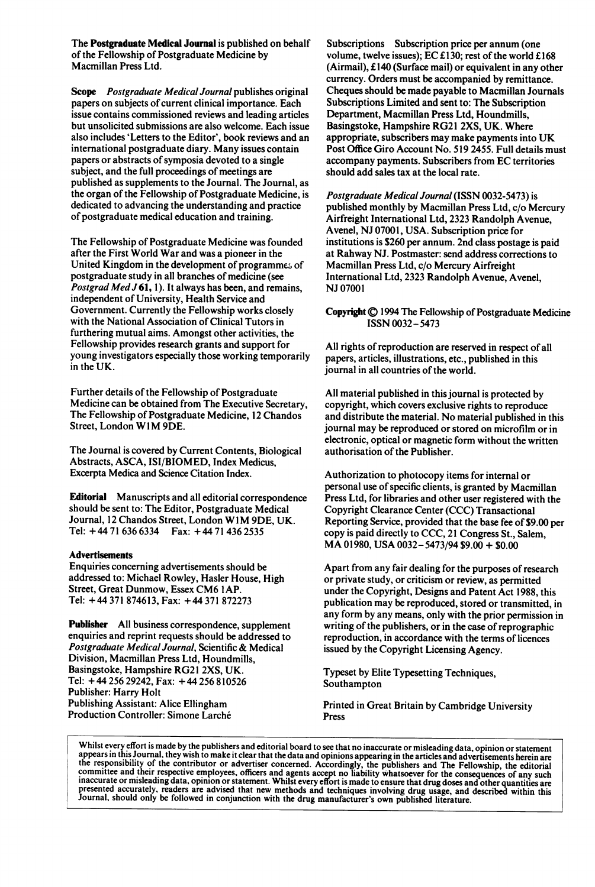The Postgraduate Medical Journal is published on behalf of the Fellowship of Postgraduate Medicine by Macmillan Press Ltd.

Scope Postgraduate Medical Journal publishes original papers on subjects of current clinical importance. Each issue contains commissioned reviews and leading articles but unsolicited submissions are also welcome. Each issue also includes 'Letters to the Editor', book reviews and an international postgraduate diary. Many issues contain papers or abstracts of symposia devoted to a single subject, and the full proceedings of meetings are published as supplements to the Journal. The Journal, as the organ of the Fellowship of Postgraduate Medicine, is dedicated to advancing the understanding and practice of postgraduate medical education and training.

The Fellowship of Postgraduate Medicine was founded after the First World War and was a pioneer in the United Kingdom in the development of programme& of postgraduate study in all branches of medicine (see Postgrad Med J 61, 1). It always has been, and remains, independent of University, Health Service and Government. Currently the Fellowship works closely with the National Association of Clinical Tutors in furthering mutual aims. Amongst other activities, the Fellowship provides research grants and support for young investigators especially those working temporarily in the UK.

Further details of the Fellowship of Postgraduate Medicine can be obtained from The Executive Secretary, The Fellowship of Postgraduate Medicine, 12 Chandos Street, London WIM 9DE.

The Journal is covered by Current Contents, Biological Abstracts, ASCA, ISI/BIOMED, Index Medicus, Excerpta Medica and Science Citation Index.

Editorial Manuscripts and all editorial correspondence should be sent to: The Editor, Postgraduate Medical Journal, 12 Chandos Street, London W1M 9DE, UK. Tel: + 44 <sup>71</sup> 636 6334 Fax: + 44 <sup>71</sup> 436 2535

#### Advertisements

Enquiries concerning advertisements should be addressed to: Michael Rowley, Hasler House, High Street, Great Dunmow, Essex CM6 <sup>I</sup> AP. Tel: + 44 <sup>371</sup> 874613, Fax: + 44 <sup>371</sup> 872273

Publisher All business correspondence, supplement enquiries and reprint requests should be addressed to Postgraduate Medical Journal, Scientific & Medical Division, Macmillan Press Ltd, Houndmills, Basingstoke, Hampshire RG21 2XS, UK. Tel: + 44 256 29242, Fax: + 44 256 810526 Publisher: Harry Holt Publishing Assistant: Alice Ellingham Production Controller: Simone Larche

Subscriptions Subscription price per annum (one volume, twelve issues); EC £130; rest of the world £168 (Airmail), £140 (Surface mail) or equivalent in any other currency. Orders must be accompanied by remittance. Cheques should be made payable to Macmillan Journals Subscriptions Limited and sent to: The Subscription Department, Macmillan Press Ltd, Houndmills, Basingstoke, Hampshire RG21 2XS, UK. Where appropriate, subscribers may make payments into UK Post Office Giro Account No. 519 2455. Full details must accompany payments. Subscribers from EC territories should add sales tax at the local rate.

Postgraduate Medical Journal (ISSN 0032-5473) is published monthly by Macmillan Press Ltd, c/o Mercury Airfreight International Ltd, 2323 Randolph Avenue, Avenel, NJ 07001, USA. Subscription price for institutions is \$260 per annum. 2nd class postage is paid at Rahway NJ. Postmaster: send address corrections to Macmillan Press Ltd, c/o Mercury Airfreight International Ltd, 2323 Randolph Avenue, Avenel, NJ 07001

### Copyright  $\bigcirc$  1994 The Fellowship of Postgraduate Medicine ISSN 0032- 5473

All rights of reproduction are reserved in respect of all papers, articles, illustrations, etc., published in this journal in all countries of the world.

All material published in this journal is protected by copyright, which covers exclusive rights to reproduce and distribute the material. No material published in this journal may be reproduced or stored on microfilm or in electronic, optical or magnetic form without the written authorisation of the Publisher.

Authorization to photocopy items for internal or personal use of specific clients, is granted by Macmillan Press Ltd, for libraries and other user registered with the Copyright Clearance Center (CCC) Transactional Reporting Service, provided that the base fee of \$9.00 per copy is paid directly to CCC, <sup>21</sup> Congress St., Salem, MA 01980, USA 0032- 5473/94 \$9.00 + \$0.00

Apart from any fair dealing for the purposes of research or private study, or criticism or review, as permitted under the Copyright, Designs and Patent Act 1988, this publication may be reproduced, stored or transmitted, in any form by any means, only with the prior permission in writing of the publishers, or in the case of reprographic reproduction, in accordance with the terms of licences issued by the Copyright Licensing Agency.

Typeset by Elite Typesetting Techniques, Southampton

Printed in Great Britain by Cambridge University Press

Whilst every effort is made by the publishers and editorial board to see that no inaccurate or misleading data, opinion or statement<br>appears in this Journal, they wish to make it clear that the data and opinions appearing appears in this source and substitute means that the data and opinions appearing in the articles and advertisements nerein are<br>the responsibility of the contributor or advertiser concerned. Accordingly, the publishers and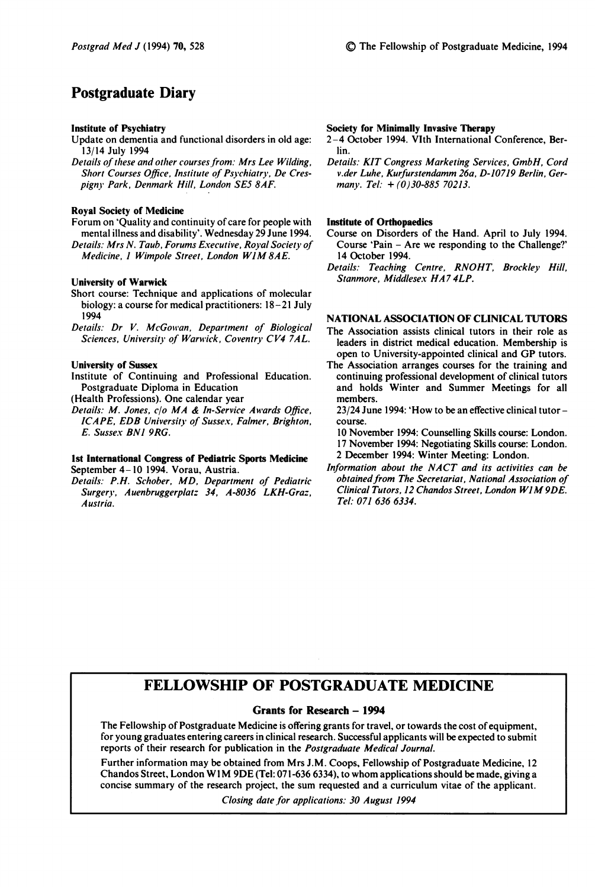# Postgraduate Diary

#### Institute of Psychiatry

- Update on dementia and functional disorders in old age: 13/14 July 1994
- Details of these and other courses from: Mrs Lee Wilding, Short Courses Office, Institute of Psychiatry, De Crespigny Park, Denmark Hill, London SE5 8AF.

#### Royal Society of Medicine

Forum on 'Quality and continuity of care for people with mental illness and disability'. Wednesday 29 June 1994. Details: Mrs N. Taub, Forums Executive, Royal Society of Medicine, 1 Wimpole Street, London W1M 8AE.

## University of Warwick

- Short course: Technique and applications of molecular biology: a course for medical practitioners: 18-21 July 1994
- Details: Dr V. McGowan, Department of Biological Sciences, University of Warwick, Coventry CV4 7AL.

#### University of Sussex

Institute of Continuing and Professional Education. Postgraduate Diploma in Education

(Health Professions). One calendar year

Details: M. Jones, c/o MA & In-Service Awards Office, ICAPE, EDB University of Sussex, Falmer, Brighton, E. Sussex BNI 9RG.

#### Ist International Congress of Pediatric Sports Medicine September 4-10 1994. Vorau, Austria.

Details: P.H. Schober, MD, Department of Pediatric Surgery, Auenbruggerplatz 34, A-8036 LKH-Graz, Austria.

#### Society for Minimally Invasive Therapy

- 2-4 October 1994. VIth International Conference, Berlin.
- Details: KIT Congress Marketing Services, GmbH, Cord v.der Luhe, Kurfurstendamm 26a, D-10719 Berlin, Germany. Tel:  $+(0)30-88570213$ .

#### Institute of Orthopaedics

- Course on Disorders of the Hand. April to July 1994. Course 'Pain - Are we responding to the Challenge?' 14 October 1994.
- Details: Teaching Centre, RNOHT, Brockley Hill, Stanmore, Middlesex HA7 4LP.

## NATIONAL ASSOCIATION OF CLINICAL TUTORS

- The Association assists clinical tutors in their role as leaders in district medical education. Membership is open to University-appointed clinical and GP tutors.
- The Association arranges courses for the training and continuing professional development of clinical tutors and holds Winter and Summer Meetings for all members.

23/24 June 1994: 'How to be an effective clinical tutor course.

10 November 1994: Counselling Skills course: London. 17 November 1994: Negotiating Skills course: London. 2 December 1994: Winter Meeting: London.

Information about the NACT and its activities can be obtained from The Secretariat, National Association of Clinical Tutors, <sup>12</sup> Chandos Street, London WIM9DE. Tel: 071 636 6334.

# FELLOWSHIP OF POSTGRADUATE MEDICINE

### Grants for Research - 1994

The Fellowship of Postgraduate Medicine is offering grants for travel, or towards the cost of equipment, for young graduates entering careers in clinical research. Successful applicants will be expected to submit reports of their research for publication in the Postgraduate Medical Journal.

Further information may be obtained from Mrs J.M. Coops, Fellowship of Postgraduate Medicine, 12 Chandos Street, London W1M 9DE (Tel: 071-636 6334), to whom applications should be made, giving a concise summary of the research project, the sum requested and a curriculum vitae of the applicant.

Closing date for applications: 30 August 1994